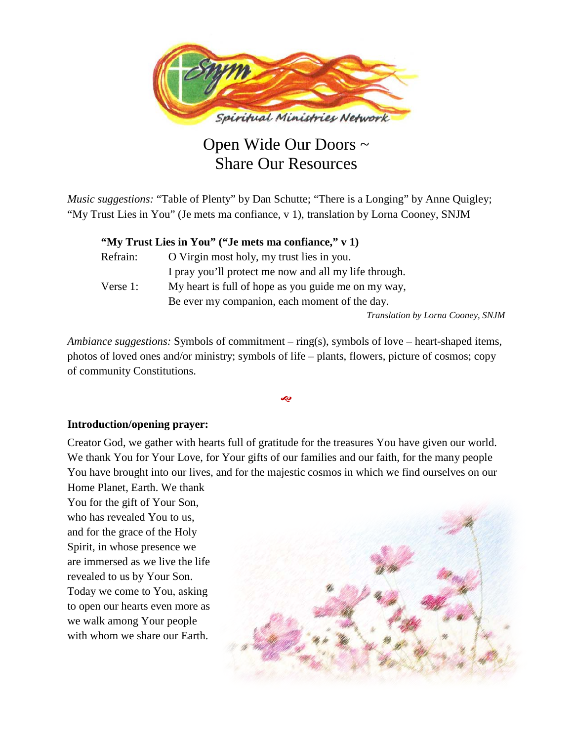

# Open Wide Our Doors ~ Share Our Resources

*Music suggestions:* "Table of Plenty" by Dan Schutte; "There is a Longing" by Anne Quigley; "My Trust Lies in You" (Je mets ma confiance, v 1), translation by Lorna Cooney, SNJM

|          | "My Trust Lies in You" ("Je mets ma confiance," v 1)  |
|----------|-------------------------------------------------------|
| Refrain: | O Virgin most holy, my trust lies in you.             |
|          | I pray you'll protect me now and all my life through. |
| Verse 1: | My heart is full of hope as you guide me on my way,   |
|          | Be ever my companion, each moment of the day.         |
|          | Translation by Lorna Cooney, SNJM                     |

*Ambiance suggestions:* Symbols of commitment – ring(s), symbols of love – heart-shaped items, photos of loved ones and/or ministry; symbols of life – plants, flowers, picture of cosmos; copy of community Constitutions.

Ŀ

#### **Introduction/opening prayer:**

Creator God, we gather with hearts full of gratitude for the treasures You have given our world. We thank You for Your Love, for Your gifts of our families and our faith, for the many people You have brought into our lives, and for the majestic cosmos in which we find ourselves on our Home Planet, Earth. We thank

You for the gift of Your Son, who has revealed You to us, and for the grace of the Holy Spirit, in whose presence we are immersed as we live the life revealed to us by Your Son. Today we come to You, asking to open our hearts even more as we walk among Your people with whom we share our Earth.

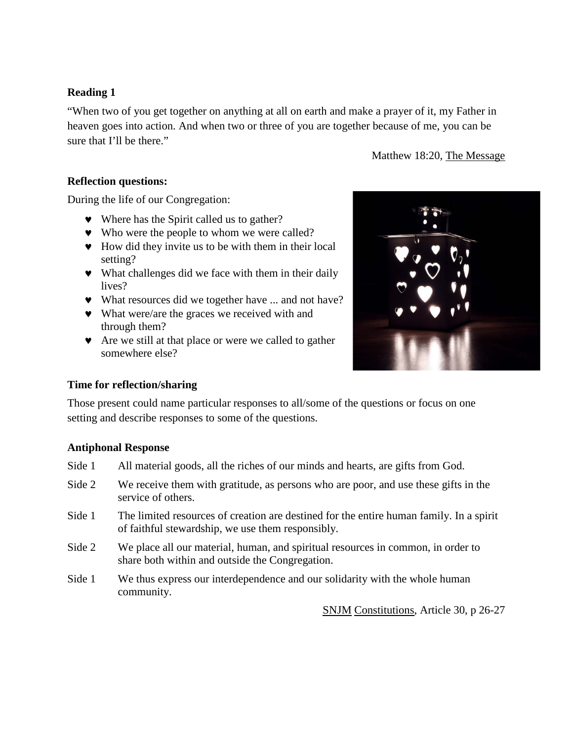# **Reading 1**

"When two of you get together on anything at all on earth and make a prayer of it, my Father in heaven goes into action. And when two or three of you are together because of me, you can be sure that I'll be there."

Matthew 18:20, The Message

# **Reflection questions:**

During the life of our Congregation:

- ♥ Where has the Spirit called us to gather?
- ♥ Who were the people to whom we were called?
- ♥ How did they invite us to be with them in their local setting?
- ♥ What challenges did we face with them in their daily lives?
- ♥ What resources did we together have ... and not have?
- ♥ What were/are the graces we received with and through them?
- ♥ Are we still at that place or were we called to gather somewhere else?

#### **Time for reflection/sharing**

Those present could name particular responses to all/some of the questions or focus on one setting and describe responses to some of the questions.

# **Antiphonal Response**

- Side 1 All material goods, all the riches of our minds and hearts, are gifts from God.
- Side 2 We receive them with gratitude, as persons who are poor, and use these gifts in the service of others.
- Side 1 The limited resources of creation are destined for the entire human family. In a spirit of faithful stewardship, we use them responsibly.
- Side 2 We place all our material, human, and spiritual resources in common, in order to share both within and outside the Congregation.
- Side 1 We thus express our interdependence and our solidarity with the whole human community.

SNJM Constitutions, Article 30, p 26-27

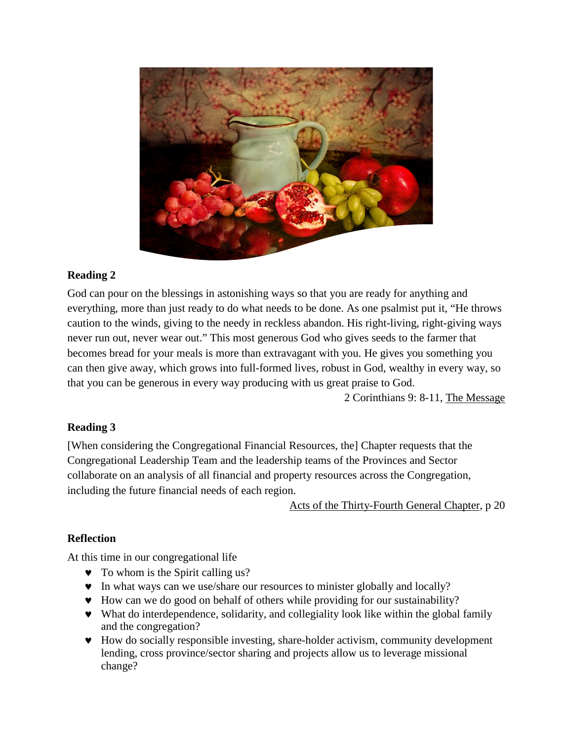

# **Reading 2**

God can pour on the blessings in astonishing ways so that you are ready for anything and everything, more than just ready to do what needs to be done. As one psalmist put it, "He throws caution to the winds, giving to the needy in reckless abandon. His right-living, right-giving ways never run out, never wear out." This most generous God who gives seeds to the farmer that becomes bread for your meals is more than extravagant with you. He gives you something you can then give away, which grows into full-formed lives, robust in God, wealthy in every way, so that you can be generous in every way producing with us great praise to God.

2 Corinthians 9: 8-11, The Message

# **Reading 3**

[When considering the Congregational Financial Resources, the] Chapter requests that the Congregational Leadership Team and the leadership teams of the Provinces and Sector collaborate on an analysis of all financial and property resources across the Congregation, including the future financial needs of each region.

Acts of the Thirty-Fourth General Chapter, p 20

# **Reflection**

At this time in our congregational life

- ♥ To whom is the Spirit calling us?
- ♥ In what ways can we use/share our resources to minister globally and locally?
- ♥ How can we do good on behalf of others while providing for our sustainability?
- ♥ What do interdependence, solidarity, and collegiality look like within the global family and the congregation?
- ♥ How do socially responsible investing, share-holder activism, community development lending, cross province/sector sharing and projects allow us to leverage missional change?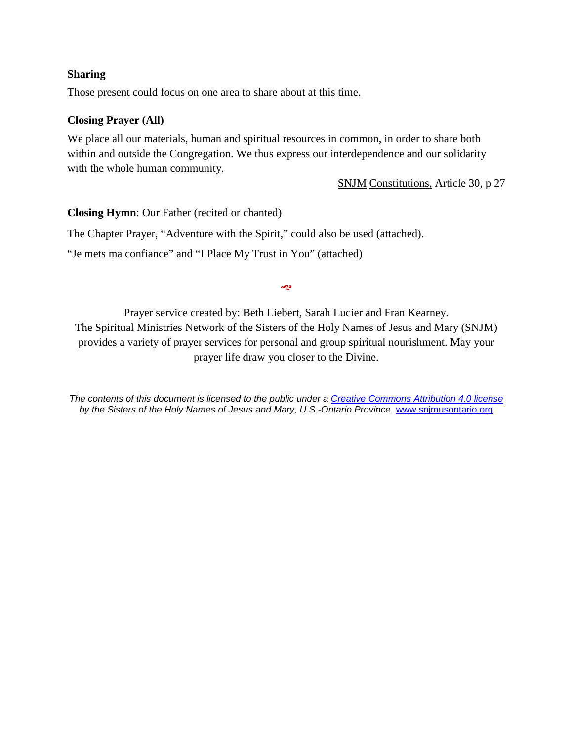### **Sharing**

Those present could focus on one area to share about at this time.

### **Closing Prayer (All)**

We place all our materials, human and spiritual resources in common, in order to share both within and outside the Congregation. We thus express our interdependence and our solidarity with the whole human community.

SNJM Constitutions, Article 30, p 27

**Closing Hymn**: Our Father (recited or chanted)

The Chapter Prayer, "Adventure with the Spirit," could also be used (attached).

"Je mets ma confiance" and "I Place My Trust in You" (attached)

�

Prayer service created by: Beth Liebert, Sarah Lucier and Fran Kearney. The Spiritual Ministries Network of the Sisters of the Holy Names of Jesus and Mary (SNJM) provides a variety of prayer services for personal and group spiritual nourishment. May your prayer life draw you closer to the Divine.

*The contents of this document is licensed to the public under a [Creative Commons Attribution 4.0 license](https://creativecommons.org/licenses/by/4.0) by the Sisters of the Holy Names of Jesus and Mary, U.S.-Ontario Province.* www.snjmusontario.org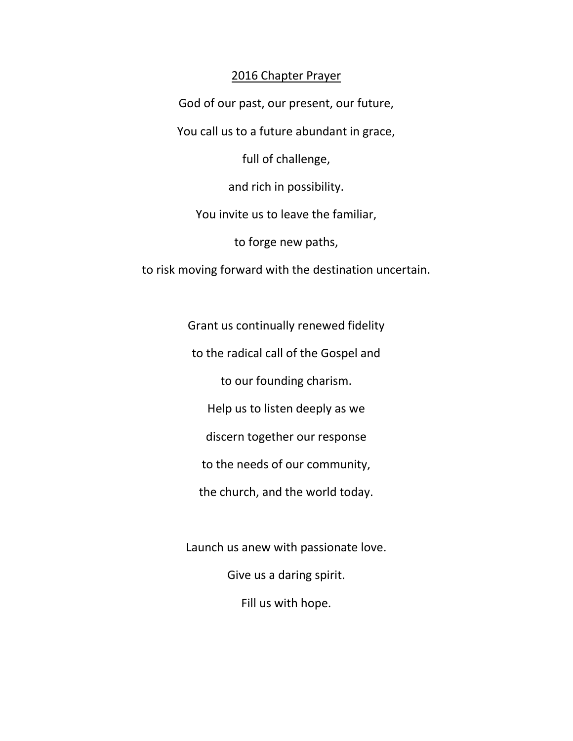# 2016 Chapter Prayer

God of our past, our present, our future,

You call us to a future abundant in grace,

full of challenge,

and rich in possibility.

You invite us to leave the familiar,

to forge new paths,

to risk moving forward with the destination uncertain.

Grant us continually renewed fidelity

to the radical call of the Gospel and

to our founding charism.

Help us to listen deeply as we

discern together our response

to the needs of our community,

the church, and the world today.

Launch us anew with passionate love.

Give us a daring spirit.

Fill us with hope.